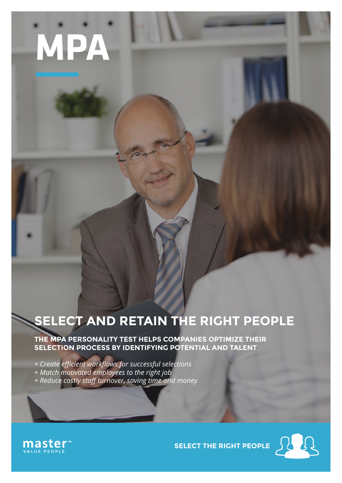# **SELECT AND RETAIN THE RIGHT PEOPLE**

**THE MPA PERSONALITY TEST HELPS COMPANIES OPTIMIZE THEIR SELECTION PROCESS BY IDENTIFYING POTENTIAL AND TALENT**

*+ Create efficient workflows for successful selections + Match motivated employees to the right job + Reduce costly staff turnover, saving time and money*



MPA